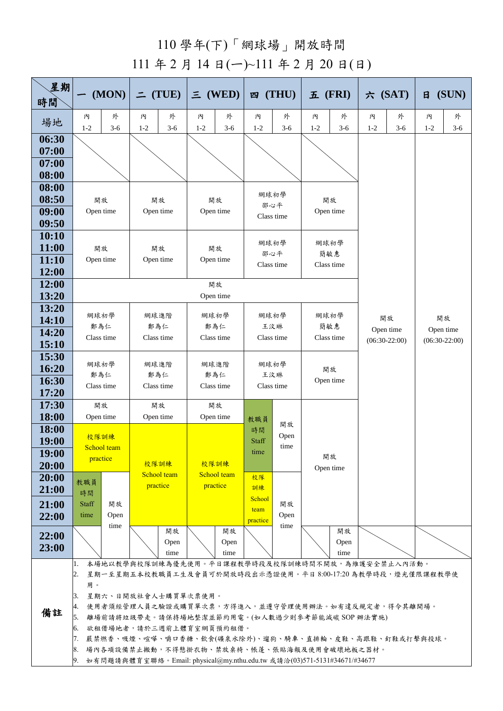## 110 學年(下)「網球場」開放時間

# 111 年 2 月 14 日(ㄧ)~111 年 2 月 20 日(日)

| 星期<br>時間              | (MON)                                                                                                                                                                                                             |            | $=$ (TUE)               |            | $\equiv$ (WED) |                                                                                       | 四 $(THU)$            |            | $E$ (FRI)         |            | 六 $(SAT)$                          |            | (SUN)<br>$\mathbf{H}$              |            |  |
|-----------------------|-------------------------------------------------------------------------------------------------------------------------------------------------------------------------------------------------------------------|------------|-------------------------|------------|----------------|---------------------------------------------------------------------------------------|----------------------|------------|-------------------|------------|------------------------------------|------------|------------------------------------|------------|--|
| 場地                    | 内<br>$1 - 2$                                                                                                                                                                                                      | 外<br>$3-6$ | 内<br>$1 - 2$            | 外<br>$3-6$ | 内<br>$1 - 2$   | 外<br>$3 - 6$                                                                          | 内<br>$1 - 2$         | 外<br>$3-6$ | 内<br>$1 - 2$      | 外<br>$3-6$ | 内<br>$1 - 2$                       | 外<br>$3-6$ | 内<br>$1 - 2$                       | 外<br>$3-6$ |  |
| 06:30                 |                                                                                                                                                                                                                   |            |                         |            |                |                                                                                       |                      |            |                   |            |                                    |            |                                    |            |  |
| 07:00                 |                                                                                                                                                                                                                   |            |                         |            |                |                                                                                       |                      |            |                   |            |                                    |            |                                    |            |  |
| 07:00<br>08:00        |                                                                                                                                                                                                                   |            |                         |            |                |                                                                                       |                      |            |                   |            |                                    |            |                                    |            |  |
| 08:00                 |                                                                                                                                                                                                                   |            |                         |            |                |                                                                                       |                      |            |                   |            |                                    |            |                                    |            |  |
| 08:50                 | 開放                                                                                                                                                                                                                |            | 開放                      |            | 開放             |                                                                                       | 網球初學<br>邵心平          |            | 開放                |            |                                    |            |                                    |            |  |
| 09:00                 | Open time                                                                                                                                                                                                         |            | Open time               |            | Open time      |                                                                                       | Class time           |            | Open time         |            |                                    |            |                                    |            |  |
| 09:50<br>10:10        |                                                                                                                                                                                                                   |            |                         |            |                |                                                                                       |                      |            |                   |            |                                    |            |                                    |            |  |
| 11:00                 | 開放                                                                                                                                                                                                                |            | 開放                      |            | 開放             |                                                                                       | 網球初學                 |            | 網球初學              |            |                                    |            |                                    |            |  |
| 11:10                 | Open time                                                                                                                                                                                                         |            | Open time               |            | Open time      |                                                                                       | 邵心平<br>Class time    |            | 簡敏惠<br>Class time |            |                                    |            |                                    |            |  |
| 12:00                 |                                                                                                                                                                                                                   |            |                         |            |                |                                                                                       |                      |            |                   |            |                                    |            |                                    |            |  |
| 12:00<br>13:20        | 開放<br>Open time                                                                                                                                                                                                   |            |                         |            |                |                                                                                       |                      |            |                   |            |                                    |            |                                    |            |  |
| 13:20                 |                                                                                                                                                                                                                   |            |                         |            |                |                                                                                       |                      |            |                   |            |                                    |            |                                    |            |  |
| 14:10                 | 網球初學<br>鄭為仁                                                                                                                                                                                                       |            | 網球進階<br>鄭為仁             |            | 網球初學<br>鄭為仁    |                                                                                       | 網球初學<br>王汶琳          |            | 網球初學<br>簡敏惠       |            | 開放<br>Open time<br>$(06:30-22:00)$ |            | 開放<br>Open time<br>$(06:30-22:00)$ |            |  |
| 14:20<br>15:10        | Class time                                                                                                                                                                                                        |            | Class time              |            | Class time     |                                                                                       | Class time           |            | Class time        |            |                                    |            |                                    |            |  |
| 15:30                 |                                                                                                                                                                                                                   |            |                         |            |                |                                                                                       |                      |            |                   |            |                                    |            |                                    |            |  |
| 16:20                 | 網球初學                                                                                                                                                                                                              |            | 網球進階<br>鄭為仁             |            | 網球進階<br>鄭為仁    |                                                                                       | 網球初學<br>王汶琳          |            | 開放                |            |                                    |            |                                    |            |  |
| 16:30                 | 鄭為仁<br>Class time                                                                                                                                                                                                 |            | Class time              |            | Class time     |                                                                                       | Class time           |            | Open time         |            |                                    |            |                                    |            |  |
| 17:20<br><b>17:30</b> | 開放                                                                                                                                                                                                                |            | 開放                      |            | 開放             |                                                                                       |                      |            |                   |            |                                    |            |                                    |            |  |
| 18:00                 | Open time                                                                                                                                                                                                         |            | Open time               |            | Open time      |                                                                                       | 教職員                  |            | 開放<br>Open time   |            |                                    |            |                                    |            |  |
| 18:00                 | 校隊訓練<br>School team                                                                                                                                                                                               |            |                         |            | 校隊訓練           |                                                                                       | 時間                   | 開放<br>Open |                   |            |                                    |            |                                    |            |  |
| <b>19:00</b>          |                                                                                                                                                                                                                   |            |                         |            |                |                                                                                       | <b>Staff</b><br>time | time       |                   |            |                                    |            |                                    |            |  |
| 19:00<br>20:00        | practice                                                                                                                                                                                                          |            | 校隊訓練                    |            |                |                                                                                       |                      |            |                   |            |                                    |            |                                    |            |  |
| 20:00                 | 教職員                                                                                                                                                                                                               |            | School team<br>practice |            |                | School team                                                                           |                      |            |                   |            |                                    |            |                                    |            |  |
| 21:00                 | 時間                                                                                                                                                                                                                |            |                         |            |                | practice                                                                              | 訓練<br>School         |            |                   |            |                                    |            |                                    |            |  |
| 21:00                 | <b>Staff</b><br>time                                                                                                                                                                                              | 開放<br>Open |                         |            |                |                                                                                       | 開放<br>team<br>Open   |            |                   |            |                                    |            |                                    |            |  |
| 22:00                 |                                                                                                                                                                                                                   | time       |                         | 開放         |                | 開放                                                                                    | practice             | time       |                   | 開放         |                                    |            |                                    |            |  |
| 22:00                 |                                                                                                                                                                                                                   |            |                         | Open       |                | Open                                                                                  |                      |            |                   | Open       |                                    |            |                                    |            |  |
| 23:00                 |                                                                                                                                                                                                                   |            | time                    |            | time           |                                                                                       |                      |            | time              |            |                                    |            |                                    |            |  |
|                       | 本場地以教學與校隊訓練為優先使用。平日課程教學時段及校隊訓練時間不開放,為維護安全禁止入內活動。<br>1.<br>星期一至星期五本校教職員工生及會員可於開放時段出示憑證使用。平日8:00-17:20為教學時段,燈光僅限課程教學使<br>2.<br>用。<br>星期六、日開放社會人士購買單次票使用。<br>3.<br>使用者須經管理人員之驗證或購買單次票,方得進入,並遵守管理使用辦法。如有違反規定者,得令其離開場。 |            |                         |            |                |                                                                                       |                      |            |                   |            |                                    |            |                                    |            |  |
| 備註                    | 5.<br>離場前請將垃圾帶走。請保持場地整潔並節約用電。(如人數過少則參考節能減碳 SOP 辦法實施)                                                                                                                                                              |            |                         |            |                |                                                                                       |                      |            |                   |            |                                    |            |                                    |            |  |
|                       |                                                                                                                                                                                                                   |            |                         |            |                | 6. 欲租借場地者,請於三週前上體育室網頁預約租借。<br>7. 嚴禁燃香、吸煙、喧嘩、嚼口香糖、飲食(礦泉水除外)、遛狗、騎車、直排輪、皮鞋、高跟鞋、釘鞋或打擊與投球。 |                      |            |                   |            |                                    |            |                                    |            |  |
|                       |                                                                                                                                                                                                                   |            |                         |            |                | 8. 場內各項設備禁止搬動,不得懸掛衣物、禁放桌椅、帳蓬、張貼海報及使用會破壞地板之器材。                                         |                      |            |                   |            |                                    |            |                                    |            |  |
|                       |                                                                                                                                                                                                                   |            |                         |            |                | 9. 如有問題請與體育室聯絡。Email: physical@my.nthu.edu.tw 或請洽(03)571-5131#34671/#34677            |                      |            |                   |            |                                    |            |                                    |            |  |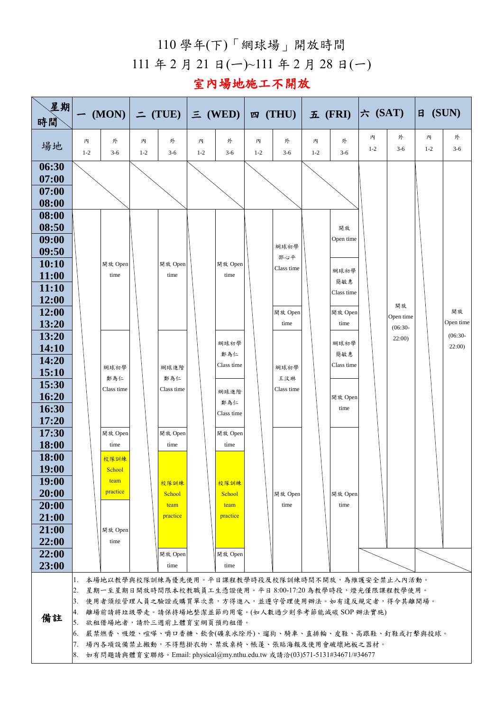110 學年(下)「網球場」開放時間

111 年 2 月 21 日(ㄧ)~111 年 2 月 28 日(一)

#### 室內場地施工不開放

| 星期<br>時間                     |                                                                                                                                                                                                                                                                                                                                                                                                   | $(MON)$ $\vert$ $\sim$ (TUE) $\vert \equiv$ (WED)                       |                              | 四 $(THU)$                  | $\mathbf{L}$ (FRI)         | $ \star$ (SAT)             | (SUN)<br>$\blacksquare$      |  |  |  |  |
|------------------------------|---------------------------------------------------------------------------------------------------------------------------------------------------------------------------------------------------------------------------------------------------------------------------------------------------------------------------------------------------------------------------------------------------|-------------------------------------------------------------------------|------------------------------|----------------------------|----------------------------|----------------------------|------------------------------|--|--|--|--|
| 場地                           | 外<br>内<br>$1 - 2$<br>$3-6$                                                                                                                                                                                                                                                                                                                                                                        | 内<br>外<br>$1 - 2$<br>$3-6$                                              | 外<br>內<br>$1 - 2$<br>$3 - 6$ | 外<br>内<br>$1 - 2$<br>$3-6$ | 外<br>內<br>$1 - 2$<br>$3-6$ | 外<br>內<br>$1 - 2$<br>$3-6$ | 外<br>內<br>$1 - 2$<br>$3 - 6$ |  |  |  |  |
| 06:30<br>07:00               |                                                                                                                                                                                                                                                                                                                                                                                                   |                                                                         |                              |                            |                            |                            |                              |  |  |  |  |
| 07:00                        |                                                                                                                                                                                                                                                                                                                                                                                                   |                                                                         |                              |                            |                            |                            |                              |  |  |  |  |
| 08:00                        |                                                                                                                                                                                                                                                                                                                                                                                                   |                                                                         |                              |                            |                            |                            |                              |  |  |  |  |
| 08:00                        |                                                                                                                                                                                                                                                                                                                                                                                                   |                                                                         |                              |                            |                            |                            |                              |  |  |  |  |
| 08:50                        |                                                                                                                                                                                                                                                                                                                                                                                                   |                                                                         |                              |                            | 開放                         |                            |                              |  |  |  |  |
| 09:00                        |                                                                                                                                                                                                                                                                                                                                                                                                   |                                                                         |                              | 網球初學                       | Open time                  |                            |                              |  |  |  |  |
| 09:50                        |                                                                                                                                                                                                                                                                                                                                                                                                   |                                                                         |                              | 邵心平                        |                            |                            |                              |  |  |  |  |
| 10:10<br><b>11:00</b>        | 開放 Open<br>time                                                                                                                                                                                                                                                                                                                                                                                   | 開放 Open<br>time                                                         | 開放 Open<br>time              | Class time                 | 網球初學                       |                            |                              |  |  |  |  |
| 11:10                        |                                                                                                                                                                                                                                                                                                                                                                                                   |                                                                         |                              |                            | 簡敏惠                        |                            |                              |  |  |  |  |
| 12:00                        |                                                                                                                                                                                                                                                                                                                                                                                                   |                                                                         |                              |                            | Class time                 | 開放                         |                              |  |  |  |  |
| <b>12:00</b>                 |                                                                                                                                                                                                                                                                                                                                                                                                   |                                                                         |                              | 開放 Open                    | 開放 Open                    | Open time                  | 開放                           |  |  |  |  |
| 13:20                        |                                                                                                                                                                                                                                                                                                                                                                                                   |                                                                         |                              | time                       | time                       | $(06:30 -$                 | Open time                    |  |  |  |  |
| <b>13:20</b><br><b>14:10</b> |                                                                                                                                                                                                                                                                                                                                                                                                   |                                                                         | 網球初學                         |                            | 網球初學                       | 22:00                      | $(06:30 -$<br>22:00          |  |  |  |  |
| 14:20                        |                                                                                                                                                                                                                                                                                                                                                                                                   |                                                                         | 鄭為仁                          |                            | 簡敏惠                        |                            |                              |  |  |  |  |
| 15:10                        | 網球初學                                                                                                                                                                                                                                                                                                                                                                                              | 網球進階                                                                    | Class time                   | 網球初學                       | Class time                 |                            |                              |  |  |  |  |
| 15:30                        | 鄭為仁<br>Class time                                                                                                                                                                                                                                                                                                                                                                                 | 鄭為仁<br>Class time                                                       |                              | 王汶琳<br>Class time          |                            |                            |                              |  |  |  |  |
| 16:20                        |                                                                                                                                                                                                                                                                                                                                                                                                   |                                                                         | 網球進階<br>鄭為仁                  |                            | 開放 Open                    |                            |                              |  |  |  |  |
| 16:30                        |                                                                                                                                                                                                                                                                                                                                                                                                   |                                                                         | Class time                   |                            | time                       |                            |                              |  |  |  |  |
| 17:20<br><b>17:30</b>        | 開放 Open                                                                                                                                                                                                                                                                                                                                                                                           | 開放 Open                                                                 | 開放 Open                      |                            |                            |                            |                              |  |  |  |  |
| 18:00                        | time                                                                                                                                                                                                                                                                                                                                                                                              | time                                                                    | time                         |                            |                            |                            |                              |  |  |  |  |
| <b>18:00</b>                 | 校隊訓練                                                                                                                                                                                                                                                                                                                                                                                              |                                                                         |                              |                            |                            |                            |                              |  |  |  |  |
| <b>19:00</b>                 | School                                                                                                                                                                                                                                                                                                                                                                                            |                                                                         |                              |                            |                            |                            |                              |  |  |  |  |
| <b>19:00</b>                 | team                                                                                                                                                                                                                                                                                                                                                                                              | 校隊訓練                                                                    | 校隊訓練                         |                            |                            |                            |                              |  |  |  |  |
| 20:00                        | practice                                                                                                                                                                                                                                                                                                                                                                                          | School                                                                  | School                       | 開放 Open<br>time            | 開放 Open<br>time            |                            |                              |  |  |  |  |
| 20:00<br>21:00               |                                                                                                                                                                                                                                                                                                                                                                                                   | team<br>practice                                                        | team<br>practice             |                            |                            |                            |                              |  |  |  |  |
| 21:00                        | 開放 Open                                                                                                                                                                                                                                                                                                                                                                                           |                                                                         |                              |                            |                            |                            |                              |  |  |  |  |
| 22:00                        | time                                                                                                                                                                                                                                                                                                                                                                                              |                                                                         |                              |                            |                            |                            |                              |  |  |  |  |
| 22:00                        |                                                                                                                                                                                                                                                                                                                                                                                                   | 開放 Open                                                                 | 開放 Open                      |                            |                            |                            |                              |  |  |  |  |
| 23:00                        |                                                                                                                                                                                                                                                                                                                                                                                                   | time                                                                    | time                         |                            |                            |                            |                              |  |  |  |  |
| 備註                           | 本場地以教學與校隊訓練為優先使用。平日課程教學時段及校隊訓練時間不開放,為維護安全禁止入內活動。<br>星期一至星期日開放時間限本校教職員工生憑證使用。平日8:00-17:20為教學時段,燈光僅限課程教學使用。<br>2.<br>3.<br>使用者須經管理人員之驗證或購買單次票,方得進入,並遵守管理使用辦法。如有違反規定者,得令其離開場。<br>離場前請將垃圾帶走。請保持場地整潔並節約用電。(如人數過少則參考節能減碳 SOP 辦法實施)<br>4.<br>欲租借場地者,請於三週前上體育室網頁預約租借。<br>5.<br>嚴禁燃香、吸煙、喧嘩、嚼口香糖、飲食(礦泉水除外)、遛狗、騎車、直排輪、皮鞋、高跟鞋、釘鞋或打擊與投球。<br>$\mathbf{b}$ .<br>場內各項設備禁止搬動,不得懸掛衣物、禁放桌椅、帳蓬、張貼海報及使用會破壞地板之器材。<br>7. |                                                                         |                              |                            |                            |                            |                              |  |  |  |  |
|                              | 8.                                                                                                                                                                                                                                                                                                                                                                                                | 如有問題請與體育室聯絡。Email: physical@my.nthu.edu.tw 或請洽(03)571-5131#34671/#34677 |                              |                            |                            |                            |                              |  |  |  |  |